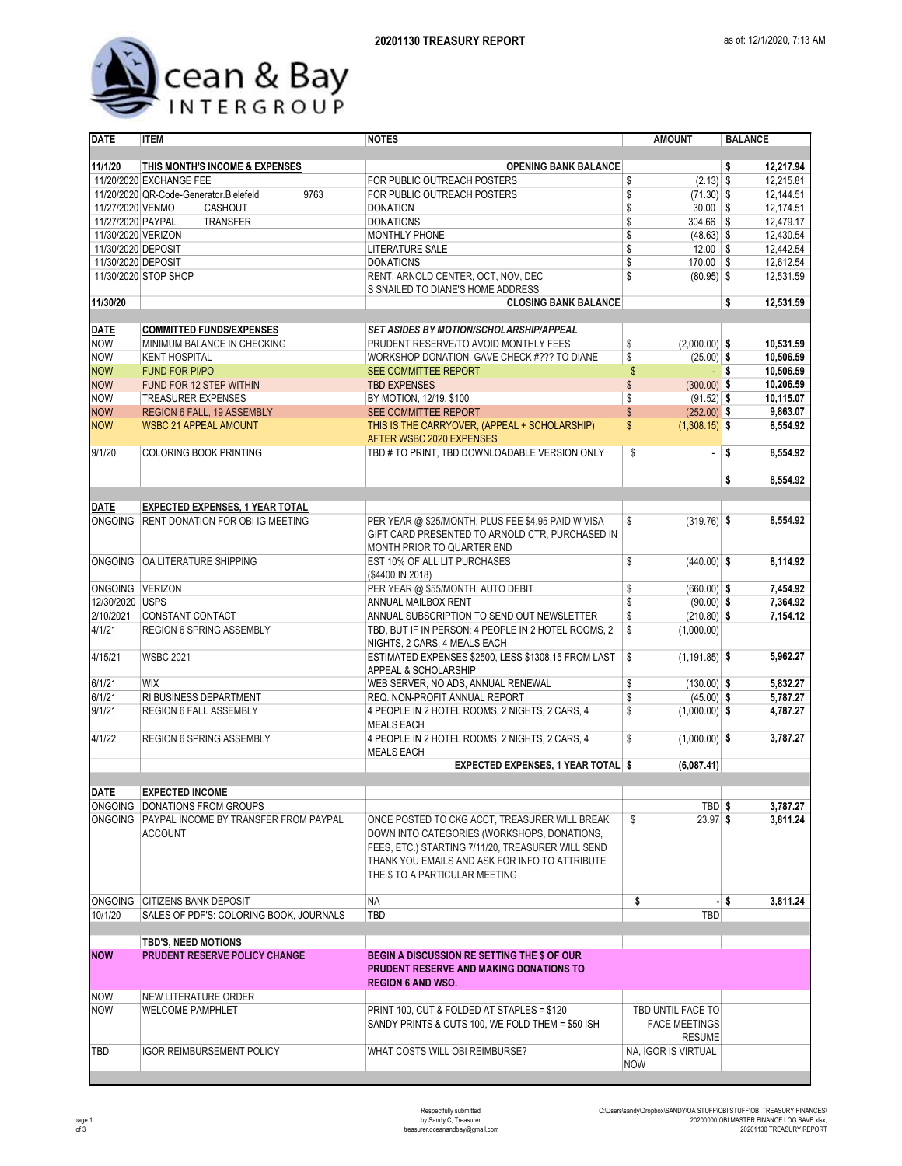

| <b>DATE</b>                           | <b>ITEM</b>                                                     | <b>NOTES</b>                                                                                                                                                                                                                          | <b>AMOUNT</b>                                              | <b>BALANCE</b>         |  |  |
|---------------------------------------|-----------------------------------------------------------------|---------------------------------------------------------------------------------------------------------------------------------------------------------------------------------------------------------------------------------------|------------------------------------------------------------|------------------------|--|--|
|                                       |                                                                 |                                                                                                                                                                                                                                       |                                                            |                        |  |  |
| 11/1/20                               | THIS MONTH'S INCOME & EXPENSES                                  | <b>OPENING BANK BALANCE</b>                                                                                                                                                                                                           |                                                            | \$<br>12,217.94        |  |  |
|                                       | 11/20/2020 EXCHANGE FEE                                         | FOR PUBLIC OUTREACH POSTERS                                                                                                                                                                                                           | $(2.13)$ \$<br>\$                                          | 12,215.81              |  |  |
|                                       | 11/20/2020 QR-Code-Generator.Bielefeld<br>9763                  | FOR PUBLIC OUTREACH POSTERS                                                                                                                                                                                                           | \$<br>$(71.30)$ \$                                         | 12,144.51              |  |  |
| 11/27/2020 VENMO<br>11/27/2020 PAYPAL | <b>CASHOUT</b>                                                  | <b>DONATION</b>                                                                                                                                                                                                                       | \$<br>$30.00$ \\$<br>\$<br>$304.66$ \$                     | 12,174.51<br>12,479.17 |  |  |
| 11/30/2020 VERIZON                    | <b>TRANSFER</b>                                                 | <b>DONATIONS</b><br><b>MONTHLY PHONE</b>                                                                                                                                                                                              | \$<br>$(48.63)$ \$                                         | 12,430.54              |  |  |
| 11/30/2020 DEPOSIT                    |                                                                 | <b>LITERATURE SALE</b>                                                                                                                                                                                                                | \$<br>$12.00$ \\$                                          | 12,442.54              |  |  |
| 11/30/2020 DEPOSIT                    |                                                                 | <b>DONATIONS</b>                                                                                                                                                                                                                      | $170.00$ \$<br>\$                                          | 12,612.54              |  |  |
|                                       | 11/30/2020 STOP SHOP                                            | RENT, ARNOLD CENTER, OCT, NOV, DEC                                                                                                                                                                                                    | \$<br>$(80.95)$ \$                                         | 12,531.59              |  |  |
|                                       |                                                                 | S SNAILED TO DIANE'S HOME ADDRESS                                                                                                                                                                                                     |                                                            |                        |  |  |
| 11/30/20                              |                                                                 | <b>CLOSING BANK BALANCE</b>                                                                                                                                                                                                           |                                                            | \$<br>12,531.59        |  |  |
|                                       |                                                                 |                                                                                                                                                                                                                                       |                                                            |                        |  |  |
| <b>DATE</b>                           | <b>COMMITTED FUNDS/EXPENSES</b>                                 | <b>SET ASIDES BY MOTION/SCHOLARSHIP/APPEAL</b>                                                                                                                                                                                        |                                                            |                        |  |  |
| <b>NOW</b>                            | MINIMUM BALANCE IN CHECKING                                     | PRUDENT RESERVE/TO AVOID MONTHLY FEES                                                                                                                                                                                                 | \$<br>$(2,000.00)$ \$                                      | 10,531.59              |  |  |
| <b>NOW</b>                            | <b>KENT HOSPITAL</b>                                            | WORKSHOP DONATION, GAVE CHECK #??? TO DIANE                                                                                                                                                                                           | \$<br>$(25.00)$ \$                                         | 10,506.59              |  |  |
| <b>NOW</b>                            | <b>FUND FOR PI/PO</b>                                           | SEE COMMITTEE REPORT                                                                                                                                                                                                                  | \$<br>- \$                                                 | 10,506.59              |  |  |
| <b>NOW</b>                            | FUND FOR 12 STEP WITHIN                                         | <b>TBD EXPENSES</b>                                                                                                                                                                                                                   | \$<br>$(300.00)$ \$                                        | 10,206.59              |  |  |
| <b>NOW</b>                            | <b>TREASURER EXPENSES</b>                                       | BY MOTION, 12/19, \$100                                                                                                                                                                                                               | \$<br>$(91.52)$ \$                                         | 10,115.07              |  |  |
| <b>NOW</b>                            | <b>REGION 6 FALL, 19 ASSEMBLY</b>                               | SEE COMMITTEE REPORT                                                                                                                                                                                                                  | \$<br>$(252.00)$ \$                                        | 9,863.07               |  |  |
| <b>NOW</b>                            | <b>WSBC 21 APPEAL AMOUNT</b>                                    | THIS IS THE CARRYOVER, (APPEAL + SCHOLARSHIP)                                                                                                                                                                                         | \$<br>$(1,308.15)$ \$                                      | 8.554.92               |  |  |
|                                       |                                                                 | AFTER WSBC 2020 EXPENSES                                                                                                                                                                                                              |                                                            |                        |  |  |
| 9/1/20                                | <b>COLORING BOOK PRINTING</b>                                   | TBD # TO PRINT, TBD DOWNLOADABLE VERSION ONLY                                                                                                                                                                                         | \$<br>ä,                                                   | \$<br>8,554.92         |  |  |
|                                       |                                                                 |                                                                                                                                                                                                                                       |                                                            |                        |  |  |
|                                       |                                                                 |                                                                                                                                                                                                                                       |                                                            | \$<br>8,554.92         |  |  |
| <b>DATE</b>                           | <b>EXPECTED EXPENSES, 1 YEAR TOTAL</b>                          |                                                                                                                                                                                                                                       |                                                            |                        |  |  |
| ONGOING                               | <b>RENT DONATION FOR OBI IG MEETING</b>                         | PER YEAR @ \$25/MONTH, PLUS FEE \$4.95 PAID W VISA                                                                                                                                                                                    | \$<br>$(319.76)$ \$                                        | 8,554.92               |  |  |
|                                       |                                                                 | GIFT CARD PRESENTED TO ARNOLD CTR, PURCHASED IN<br>MONTH PRIOR TO QUARTER END                                                                                                                                                         |                                                            |                        |  |  |
| <b>ONGOING</b>                        | OA LITERATURE SHIPPING                                          | EST 10% OF ALL LIT PURCHASES<br>(\$4400 IN 2018)                                                                                                                                                                                      | \$<br>$(440.00)$ \$                                        | 8,114.92               |  |  |
| ONGOING VERIZON                       |                                                                 | PER YEAR @ \$55/MONTH, AUTO DEBIT                                                                                                                                                                                                     | \$<br>$(660.00)$ \$                                        | 7,454.92               |  |  |
| 12/30/2020 USPS                       |                                                                 | ANNUAL MAILBOX RENT                                                                                                                                                                                                                   | \$<br>$(90.00)$ \$                                         | 7,364.92               |  |  |
| 2/10/2021                             | CONSTANT CONTACT                                                | ANNUAL SUBSCRIPTION TO SEND OUT NEWSLETTER                                                                                                                                                                                            | \$<br>$(210.80)$ \$                                        | 7,154.12               |  |  |
| 4/1/21                                | <b>REGION 6 SPRING ASSEMBLY</b>                                 | TBD, BUT IF IN PERSON: 4 PEOPLE IN 2 HOTEL ROOMS, 2<br>NIGHTS, 2 CARS, 4 MEALS EACH                                                                                                                                                   | \$<br>(1,000.00)                                           |                        |  |  |
| 4/15/21                               | <b>WSBC 2021</b>                                                | ESTIMATED EXPENSES \$2500, LESS \$1308.15 FROM LAST<br>APPEAL & SCHOLARSHIP                                                                                                                                                           | \$<br>$(1, 191.85)$ \$                                     | 5,962.27               |  |  |
| 6/1/21                                | <b>WIX</b>                                                      | WEB SERVER, NO ADS, ANNUAL RENEWAL                                                                                                                                                                                                    | \$<br>$(130.00)$ \$                                        | 5,832.27               |  |  |
| 6/1/21                                | RI BUSINESS DEPARTMENT                                          | REQ. NON-PROFIT ANNUAL REPORT                                                                                                                                                                                                         | \$<br>$(45.00)$ \$                                         | 5,787.27               |  |  |
| 9/1/21                                | <b>REGION 6 FALL ASSEMBLY</b>                                   | 4 PEOPLE IN 2 HOTEL ROOMS, 2 NIGHTS, 2 CARS, 4<br><b>MEALS EACH</b>                                                                                                                                                                   | \$<br>$(1,000.00)$ \$                                      | 4,787.27               |  |  |
| 4/1/22                                | <b>REGION 6 SPRING ASSEMBLY</b>                                 | 4 PEOPLE IN 2 HOTEL ROOMS, 2 NIGHTS, 2 CARS, 4<br><b>MEALS EACH</b>                                                                                                                                                                   | \$<br>$(1,000.00)$ \$                                      | 3,787.27               |  |  |
|                                       |                                                                 | <b>EXPECTED EXPENSES, 1 YEAR TOTAL \$</b>                                                                                                                                                                                             | (6,087.41)                                                 |                        |  |  |
|                                       |                                                                 |                                                                                                                                                                                                                                       |                                                            |                        |  |  |
| <b>DATE</b>                           | <b>EXPECTED INCOME</b>                                          |                                                                                                                                                                                                                                       |                                                            |                        |  |  |
|                                       | ONGOING   DONATIONS FROM GROUPS                                 |                                                                                                                                                                                                                                       | TBD \$                                                     | 3,787.27               |  |  |
|                                       | ONGOING PAYPAL INCOME BY TRANSFER FROM PAYPAL<br><b>ACCOUNT</b> | ONCE POSTED TO CKG ACCT, TREASURER WILL BREAK<br>DOWN INTO CATEGORIES (WORKSHOPS, DONATIONS,<br>FEES, ETC.) STARTING 7/11/20, TREASURER WILL SEND<br>THANK YOU EMAILS AND ASK FOR INFO TO ATTRIBUTE<br>THE \$ TO A PARTICULAR MEETING | \$<br>$23.97$ \$                                           | 3,811.24               |  |  |
|                                       | ONGOING CITIZENS BANK DEPOSIT                                   | ΝA                                                                                                                                                                                                                                    | \$                                                         | 3,811.24<br>- \$       |  |  |
| 10/1/20                               | SALES OF PDF'S: COLORING BOOK, JOURNALS                         | TBD                                                                                                                                                                                                                                   | TBD                                                        |                        |  |  |
|                                       | TBD'S, NEED MOTIONS                                             |                                                                                                                                                                                                                                       |                                                            |                        |  |  |
| <b>NOW</b>                            | PRUDENT RESERVE POLICY CHANGE                                   | <b>BEGIN A DISCUSSION RE SETTING THE \$ OF OUR</b>                                                                                                                                                                                    |                                                            |                        |  |  |
|                                       |                                                                 | <b>PRUDENT RESERVE AND MAKING DONATIONS TO</b><br><b>REGION 6 AND WSO.</b>                                                                                                                                                            |                                                            |                        |  |  |
| NOW                                   | NEW LITERATURE ORDER                                            |                                                                                                                                                                                                                                       |                                                            |                        |  |  |
| <b>NOW</b>                            | <b>WELCOME PAMPHLET</b>                                         | PRINT 100, CUT & FOLDED AT STAPLES = \$120<br>SANDY PRINTS & CUTS 100, WE FOLD THEM = \$50 ISH                                                                                                                                        | TBD UNTIL FACE TO<br><b>FACE MEETINGS</b><br><b>RESUME</b> |                        |  |  |
| TBD                                   | <b>IGOR REIMBURSEMENT POLICY</b>                                | WHAT COSTS WILL OBI REIMBURSE?                                                                                                                                                                                                        | NA, IGOR IS VIRTUAL                                        |                        |  |  |
|                                       |                                                                 |                                                                                                                                                                                                                                       | <b>NOW</b>                                                 |                        |  |  |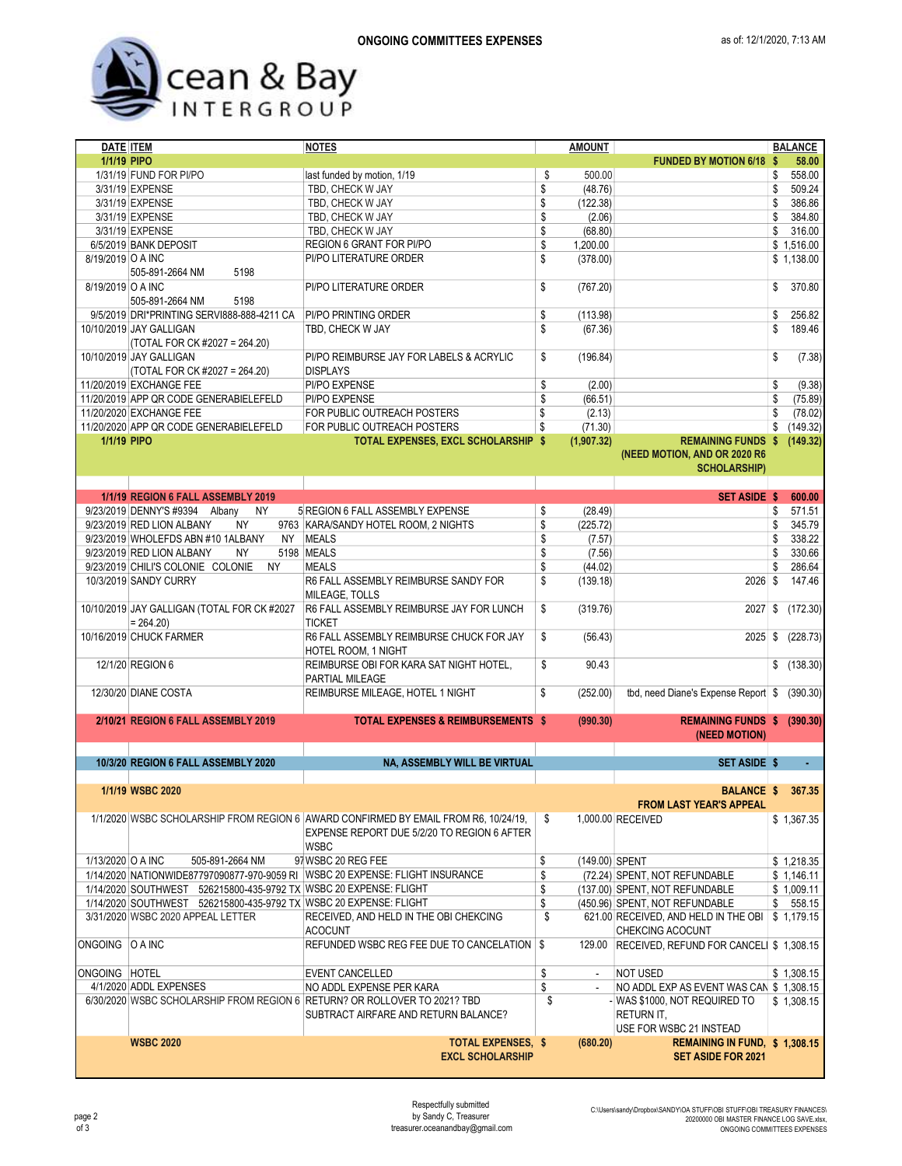## Cean & Bay

| DATE ITEM         |                                                                   | <b>NOTES</b>                                                                        | <b>AMOUNT</b>        |                                                 |    | <b>BALANCE</b> |
|-------------------|-------------------------------------------------------------------|-------------------------------------------------------------------------------------|----------------------|-------------------------------------------------|----|----------------|
| 1/1/19 PIPO       |                                                                   |                                                                                     |                      | <b>FUNDED BY MOTION 6/18 \$</b>                 |    | 58.00          |
|                   | 1/31/19 FUND FOR PI/PO                                            | last funded by motion, 1/19                                                         | \$<br>500.00         |                                                 | S  | 558.00         |
|                   | 3/31/19 EXPENSE                                                   | TBD, CHECK W JAY                                                                    | \$<br>(48.76)        |                                                 | S  | 509.24         |
|                   | 3/31/19 EXPENSE                                                   | TBD, CHECK W JAY                                                                    | \$<br>(122.38)       |                                                 | \$ | 386.86         |
|                   | 3/31/19 EXPENSE                                                   | TBD, CHECK W JAY                                                                    | \$<br>(2.06)         |                                                 | S  | 384.80         |
|                   |                                                                   |                                                                                     |                      |                                                 |    |                |
|                   | 3/31/19 EXPENSE                                                   | TBD, CHECK W JAY                                                                    | \$<br>(68.80)        |                                                 | \$ | 316.00         |
|                   | 6/5/2019 BANK DEPOSIT                                             | <b>REGION 6 GRANT FOR PI/PO</b>                                                     | \$<br>1,200.00       |                                                 |    | \$1,516.00     |
| 8/19/2019 O A INC |                                                                   | PI/PO LITERATURE ORDER                                                              | \$<br>(378.00)       |                                                 |    | \$1,138.00     |
|                   | 5198<br>505-891-2664 NM                                           |                                                                                     |                      |                                                 |    |                |
| 8/19/2019 O A INC |                                                                   | PI/PO LITERATURE ORDER                                                              | \$<br>(767.20)       |                                                 | \$ | 370.80         |
|                   | 505-891-2664 NM<br>5198                                           |                                                                                     |                      |                                                 |    |                |
|                   | 9/5/2019 DRI*PRINTING SERVI888-888-4211 CA                        | <b>PI/PO PRINTING ORDER</b>                                                         | \$<br>(113.98)       |                                                 | \$ | 256.82         |
|                   | 10/10/2019 JAY GALLIGAN                                           | TBD, CHECK W JAY                                                                    | \$<br>(67.36)        |                                                 | \$ | 189.46         |
|                   |                                                                   |                                                                                     |                      |                                                 |    |                |
|                   | (TOTAL FOR CK #2027 = 264.20)                                     |                                                                                     |                      |                                                 |    |                |
|                   | 10/10/2019 JAY GALLIGAN                                           | PI/PO REIMBURSE JAY FOR LABELS & ACRYLIC                                            | \$<br>(196.84)       |                                                 | \$ | (7.38)         |
|                   | (TOTAL FOR CK #2027 = 264.20)                                     | <b>DISPLAYS</b>                                                                     |                      |                                                 |    |                |
|                   | 11/20/2019 EXCHANGE FEE                                           | PI/PO EXPENSE                                                                       | \$<br>(2.00)         |                                                 | \$ | (9.38)         |
|                   | 11/20/2019 APP QR CODE GENERABIELEFELD                            | PI/PO EXPENSE                                                                       | \$<br>(66.51)        |                                                 | \$ | (75.89)        |
|                   | 11/20/2020 EXCHANGE FEE                                           | FOR PUBLIC OUTREACH POSTERS                                                         | \$<br>(2.13)         |                                                 | \$ | (78.02)        |
|                   | 11/20/2020 APP QR CODE GENERABIELEFELD                            | FOR PUBLIC OUTREACH POSTERS                                                         | \$<br>(71.30)        |                                                 | \$ | (149.32)       |
|                   |                                                                   |                                                                                     |                      |                                                 |    |                |
| 1/1/19 PIPO       |                                                                   | TOTAL EXPENSES, EXCL SCHOLARSHIP \$                                                 | (1,907.32)           | <b>REMAINING FUNDS \$</b>                       |    | (149.32)       |
|                   |                                                                   |                                                                                     |                      | (NEED MOTION, AND OR 2020 R6                    |    |                |
|                   |                                                                   |                                                                                     |                      | <b>SCHOLARSHIP)</b>                             |    |                |
|                   |                                                                   |                                                                                     |                      |                                                 |    |                |
|                   | 1/1/19 REGION 6 FALL ASSEMBLY 2019                                |                                                                                     |                      | <b>SET ASIDE \$</b>                             |    | 600.00         |
|                   | 9/23/2019 DENNY'S #9394 Albany<br><b>NY</b>                       | 5 REGION 6 FALL ASSEMBLY EXPENSE                                                    | \$<br>(28.49)        |                                                 | \$ | 571.51         |
|                   | 9/23/2019 RED LION ALBANY<br>NY                                   | 9763 KARA/SANDY HOTEL ROOM, 2 NIGHTS                                                | \$<br>(225.72)       |                                                 | S  | 345.79         |
|                   |                                                                   | <b>MEALS</b>                                                                        |                      |                                                 |    |                |
|                   | 9/23/2019 WHOLEFDS ABN #10 1ALBANY<br>NY .                        |                                                                                     | \$<br>(7.57)         |                                                 | S  | 338.22         |
|                   | 9/23/2019 RED LION ALBANY<br>ΝY                                   | 5198 MEALS                                                                          | \$<br>(7.56)         |                                                 |    | 330.66         |
|                   | 9/23/2019 CHILI'S COLONIE COLONIE<br><b>NY</b>                    | <b>MEALS</b>                                                                        | \$<br>(44.02)        |                                                 | S  | 286.64         |
|                   | 10/3/2019 SANDY CURRY                                             | R6 FALL ASSEMBLY REIMBURSE SANDY FOR                                                | \$<br>(139.18)       | 2026                                            | -S | 147.46         |
|                   |                                                                   | MILEAGE, TOLLS                                                                      |                      |                                                 |    |                |
|                   | 10/10/2019 JAY GALLIGAN (TOTAL FOR CK #2027                       | R6 FALL ASSEMBLY REIMBURSE JAY FOR LUNCH                                            | \$<br>(319.76)       | 2027                                            | \$ | (172.30)       |
|                   | $= 264.20$                                                        | <b>TICKET</b>                                                                       |                      |                                                 |    |                |
|                   |                                                                   |                                                                                     |                      |                                                 |    |                |
|                   | 10/16/2019 CHUCK FARMER                                           | R6 FALL ASSEMBLY REIMBURSE CHUCK FOR JAY                                            | \$<br>(56.43)        | 2025                                            | \$ | (228.73)       |
|                   |                                                                   | <b>HOTEL ROOM, 1 NIGHT</b>                                                          |                      |                                                 |    |                |
|                   | 12/1/20 REGION 6                                                  | REIMBURSE OBI FOR KARA SAT NIGHT HOTEL,                                             | \$<br>90.43          |                                                 |    | \$ (138.30)    |
|                   |                                                                   | PARTIAL MILEAGE                                                                     |                      |                                                 |    |                |
|                   | 12/30/20 DIANE COSTA                                              | REIMBURSE MILEAGE, HOTEL 1 NIGHT                                                    | \$<br>(252.00)       | tbd, need Diane's Expense Report                | \$ | (390.30)       |
|                   |                                                                   |                                                                                     |                      |                                                 |    |                |
|                   | 2/10/21 REGION 6 FALL ASSEMBLY 2019                               | <b>TOTAL EXPENSES &amp; REIMBURSEMENTS \$</b>                                       | (990.30)             | REMAINING FUNDS \$ (390.30)                     |    |                |
|                   |                                                                   |                                                                                     |                      |                                                 |    |                |
|                   |                                                                   |                                                                                     |                      | (NEED MOTION)                                   |    |                |
|                   |                                                                   |                                                                                     |                      |                                                 |    |                |
|                   | 10/3/20 REGION 6 FALL ASSEMBLY 2020                               | NA, ASSEMBLY WILL BE VIRTUAL                                                        |                      | <b>SET ASIDE \$</b>                             |    |                |
|                   |                                                                   |                                                                                     |                      |                                                 |    |                |
|                   | 1/1/19 WSBC 2020                                                  |                                                                                     |                      | BALANCE \$                                      |    | 367.35         |
|                   |                                                                   |                                                                                     |                      | <b>FROM LAST YEAR'S APPEAL</b>                  |    |                |
|                   |                                                                   | 1/1/2020 WSBC SCHOLARSHIP FROM REGION 6 AWARD CONFIRMED BY EMAIL FROM R6, 10/24/19, | \$                   | 1.000.00 RECEIVED                               |    | \$1,367.35     |
|                   |                                                                   | EXPENSE REPORT DUE 5/2/20 TO REGION 6 AFTER                                         |                      |                                                 |    |                |
|                   |                                                                   | <b>WSBC</b>                                                                         |                      |                                                 |    |                |
|                   |                                                                   |                                                                                     |                      |                                                 |    |                |
| 1/13/2020 O A INC | 505-891-2664 NM                                                   | 97 WSBC 20 REG FEE                                                                  | \$<br>(149.00) SPENT |                                                 |    | \$1,218.35     |
|                   |                                                                   | 1/14/2020 NATIONWIDE87797090877-970-9059 RI WSBC 20 EXPENSE: FLIGHT INSURANCE       | \$                   | (72.24) SPENT, NOT REFUNDABLE                   |    | \$1,146.11     |
|                   | 1/14/2020 SOUTHWEST 526215800-435-9792 TX WSBC 20 EXPENSE: FLIGHT |                                                                                     | \$                   | (137.00) SPENT, NOT REFUNDABLE                  |    | \$1,009.11     |
|                   | 1/14/2020 SOUTHWEST 526215800-435-9792 TX WSBC 20 EXPENSE: FLIGHT |                                                                                     | \$                   | (450.96) SPENT, NOT REFUNDABLE                  |    | \$558.15       |
|                   | 3/31/2020 WSBC 2020 APPEAL LETTER                                 | RECEIVED, AND HELD IN THE OBI CHEKCING                                              | \$                   | 621.00 RECEIVED, AND HELD IN THE OBI            |    | \$1,179.15     |
|                   |                                                                   | <b>ACOCUNT</b>                                                                      |                      | CHEKCING ACOCUNT                                |    |                |
| ONGOING O A INC   |                                                                   | REFUNDED WSBC REG FEE DUE TO CANCELATION   \$                                       |                      | 129.00 RECEIVED, REFUND FOR CANCELI \$ 1,308.15 |    |                |
|                   |                                                                   |                                                                                     |                      |                                                 |    |                |
|                   |                                                                   |                                                                                     |                      |                                                 |    |                |
| ONGOING HOTEL     |                                                                   | <b>EVENT CANCELLED</b>                                                              | \$<br>$\sim$         | <b>NOT USED</b>                                 |    | \$1,308.15     |
|                   | 4/1/2020 ADDL EXPENSES                                            | NO ADDL EXPENSE PER KARA                                                            | \$<br>$\omega$       | NO ADDL EXP AS EVENT WAS CAN \$ 1,308.15        |    |                |
|                   |                                                                   | 6/30/2020 WSBC SCHOLARSHIP FROM REGION 6 RETURN? OR ROLLOVER TO 2021? TBD           | \$                   | - WAS \$1000, NOT REQUIRED TO                   |    | \$1,308.15     |
|                   |                                                                   | SUBTRACT AIRFARE AND RETURN BALANCE?                                                |                      | RETURN IT,                                      |    |                |
|                   |                                                                   |                                                                                     |                      | USE FOR WSBC 21 INSTEAD                         |    |                |
|                   | <b>WSBC 2020</b>                                                  | <b>TOTAL EXPENSES, \$</b>                                                           | (680.20)             | REMAINING IN FUND, \$1,308.15                   |    |                |
|                   |                                                                   | <b>EXCL SCHOLARSHIP</b>                                                             |                      | <b>SET ASIDE FOR 2021</b>                       |    |                |
|                   |                                                                   |                                                                                     |                      |                                                 |    |                |
|                   |                                                                   |                                                                                     |                      |                                                 |    |                |